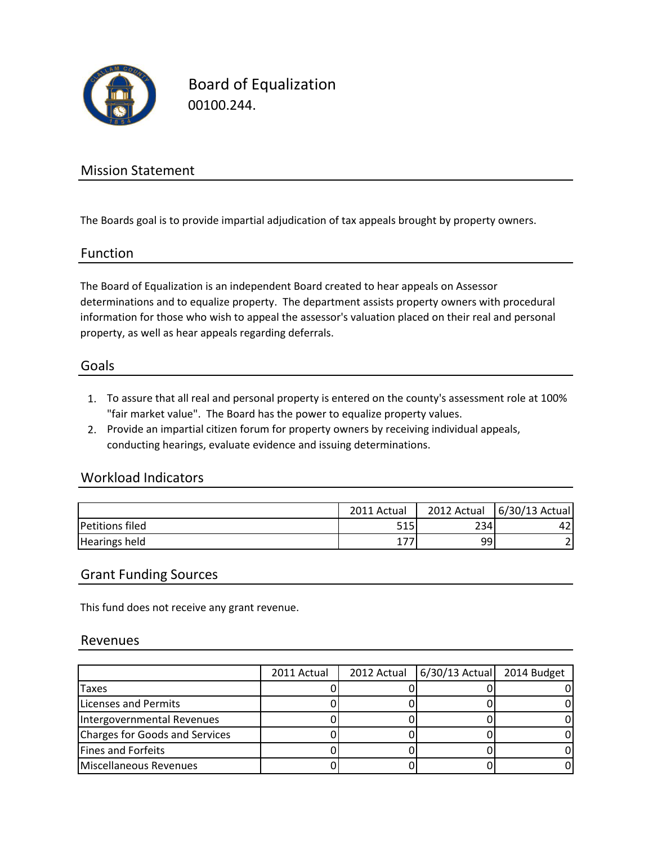

Board of Equalization 00100.244.

### Mission Statement

The Boards goal is to provide impartial adjudication of tax appeals brought by property owners.

### Function

The Board of Equalization is an independent Board created to hear appeals on Assessor determinations and to equalize property. The department assists property owners with procedural information for those who wish to appeal the assessor's valuation placed on their real and personal property, as well as hear appeals regarding deferrals.

#### Goals

- 1. To assure that all real and personal property is entered on the county's assessment role at 100% "fair market value". The Board has the power to equalize property values.
- 2. Provide an impartial citizen forum for property owners by receiving individual appeals, conducting hearings, evaluate evidence and issuing determinations.

### Workload Indicators

|                        | 2011 Actual | 2012 Actual | 6/30/13 Actual |
|------------------------|-------------|-------------|----------------|
| <b>Petitions filed</b> | 515         | 234         | 42             |
| <b>Hearings held</b>   |             | 99          |                |

### Grant Funding Sources

This fund does not receive any grant revenue.

#### Revenues

|                                | 2011 Actual | 2012 Actual   6/30/13 Actual | 2014 Budget |
|--------------------------------|-------------|------------------------------|-------------|
| Taxes                          |             |                              |             |
| Licenses and Permits           |             |                              |             |
| Intergovernmental Revenues     |             |                              |             |
| Charges for Goods and Services |             |                              |             |
| <b>Fines and Forfeits</b>      |             |                              |             |
| Miscellaneous Revenues         |             |                              |             |